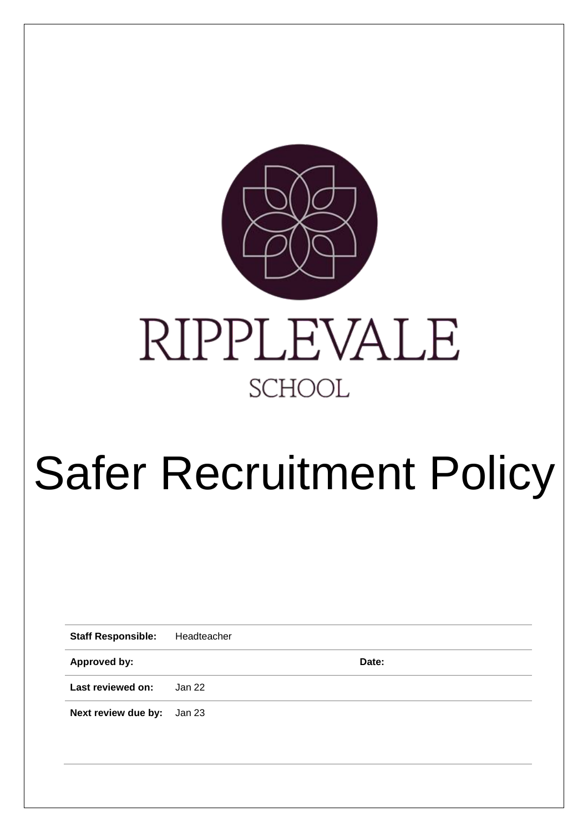

# Safer Recruitment Policy

**Staff Responsible:** Headteacher

**Approved by: Date:**

**Last reviewed on:** Jan 22

**Next review due by:** Jan 23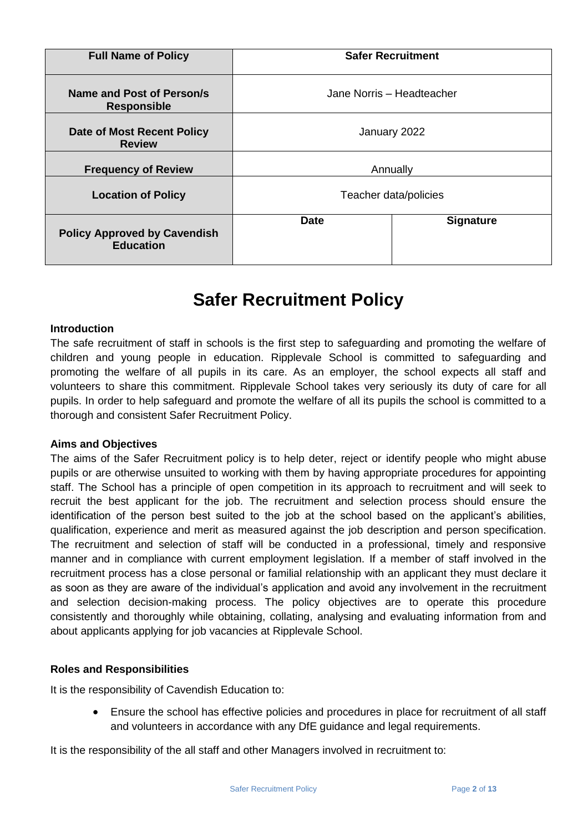| <b>Full Name of Policy</b>                              |                           | <b>Safer Recruitment</b> |
|---------------------------------------------------------|---------------------------|--------------------------|
| Name and Post of Person/s<br><b>Responsible</b>         | Jane Norris - Headteacher |                          |
| Date of Most Recent Policy<br><b>Review</b>             | January 2022              |                          |
| <b>Frequency of Review</b>                              | Annually                  |                          |
| <b>Location of Policy</b>                               | Teacher data/policies     |                          |
| <b>Policy Approved by Cavendish</b><br><b>Education</b> | <b>Date</b>               | <b>Signature</b>         |

## **Safer Recruitment Policy**

#### **Introduction**

The safe recruitment of staff in schools is the first step to safeguarding and promoting the welfare of children and young people in education. Ripplevale School is committed to safeguarding and promoting the welfare of all pupils in its care. As an employer, the school expects all staff and volunteers to share this commitment. Ripplevale School takes very seriously its duty of care for all pupils. In order to help safeguard and promote the welfare of all its pupils the school is committed to a thorough and consistent Safer Recruitment Policy.

#### **Aims and Objectives**

The aims of the Safer Recruitment policy is to help deter, reject or identify people who might abuse pupils or are otherwise unsuited to working with them by having appropriate procedures for appointing staff. The School has a principle of open competition in its approach to recruitment and will seek to recruit the best applicant for the job. The recruitment and selection process should ensure the identification of the person best suited to the job at the school based on the applicant's abilities, qualification, experience and merit as measured against the job description and person specification. The recruitment and selection of staff will be conducted in a professional, timely and responsive manner and in compliance with current employment legislation. If a member of staff involved in the recruitment process has a close personal or familial relationship with an applicant they must declare it as soon as they are aware of the individual's application and avoid any involvement in the recruitment and selection decision-making process. The policy objectives are to operate this procedure consistently and thoroughly while obtaining, collating, analysing and evaluating information from and about applicants applying for job vacancies at Ripplevale School.

#### **Roles and Responsibilities**

It is the responsibility of Cavendish Education to:

 Ensure the school has effective policies and procedures in place for recruitment of all staff and volunteers in accordance with any DfE guidance and legal requirements.

It is the responsibility of the all staff and other Managers involved in recruitment to: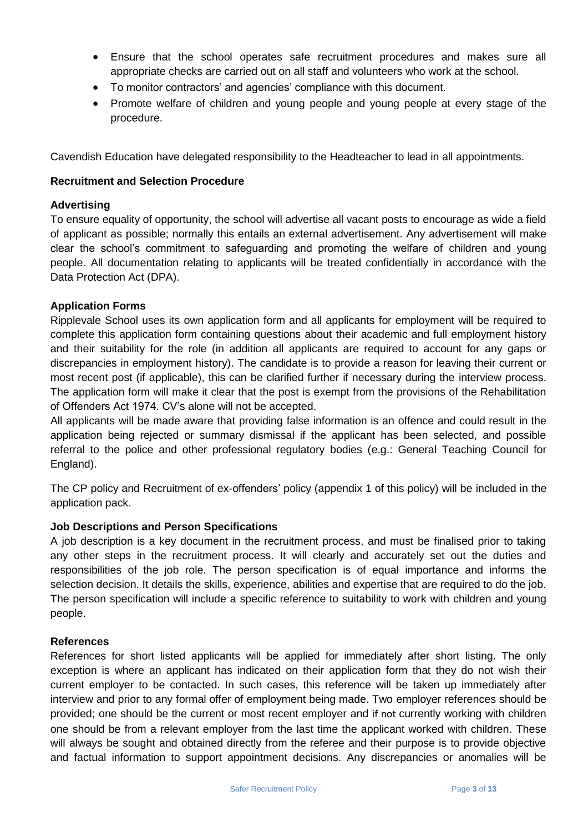- Ensure that the school operates safe recruitment procedures and makes sure all appropriate checks are carried out on all staff and volunteers who work at the school.
- To monitor contractors' and agencies' compliance with this document.
- Promote welfare of children and young people and young people at every stage of the procedure.

Cavendish Education have delegated responsibility to the Headteacher to lead in all appointments.

#### **Recruitment and Selection Procedure**

#### **Advertising**

To ensure equality of opportunity, the school will advertise all vacant posts to encourage as wide a field of applicant as possible; normally this entails an external advertisement. Any advertisement will make clear the school's commitment to safeguarding and promoting the welfare of children and young people. All documentation relating to applicants will be treated confidentially in accordance with the Data Protection Act (DPA).

#### **Application Forms**

Ripplevale School uses its own application form and all applicants for employment will be required to complete this application form containing questions about their academic and full employment history and their suitability for the role (in addition all applicants are required to account for any gaps or discrepancies in employment history). The candidate is to provide a reason for leaving their current or most recent post (if applicable), this can be clarified further if necessary during the interview process. The application form will make it clear that the post is exempt from the provisions of the Rehabilitation of Offenders Act 1974. CV's alone will not be accepted.

All applicants will be made aware that providing false information is an offence and could result in the application being rejected or summary dismissal if the applicant has been selected, and possible referral to the police and other professional regulatory bodies (e.g.: General Teaching Council for England).

The CP policy and Recruitment of ex-offenders' policy (appendix 1 of this policy) will be included in the application pack.

#### **Job Descriptions and Person Specifications**

A job description is a key document in the recruitment process, and must be finalised prior to taking any other steps in the recruitment process. It will clearly and accurately set out the duties and responsibilities of the job role. The person specification is of equal importance and informs the selection decision. It details the skills, experience, abilities and expertise that are required to do the job. The person specification will include a specific reference to suitability to work with children and young people.

#### **References**

References for short listed applicants will be applied for immediately after short listing. The only exception is where an applicant has indicated on their application form that they do not wish their current employer to be contacted. In such cases, this reference will be taken up immediately after interview and prior to any formal offer of employment being made. Two employer references should be provided; one should be the current or most recent employer and if not currently working with children one should be from a relevant employer from the last time the applicant worked with children. These will always be sought and obtained directly from the referee and their purpose is to provide objective and factual information to support appointment decisions. Any discrepancies or anomalies will be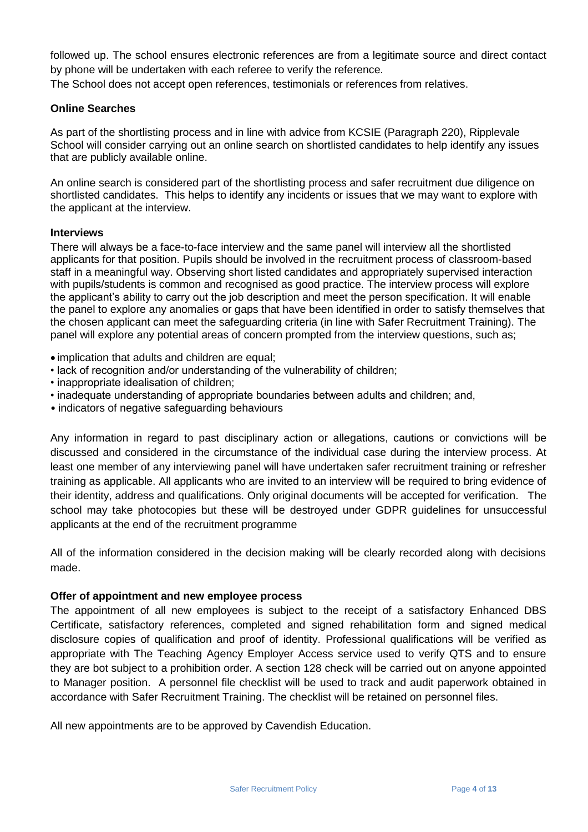followed up. The school ensures electronic references are from a legitimate source and direct contact by phone will be undertaken with each referee to verify the reference.

The School does not accept open references, testimonials or references from relatives.

#### **Online Searches**

As part of the shortlisting process and in line with advice from KCSIE (Paragraph 220), Ripplevale School will consider carrying out an online search on shortlisted candidates to help identify any issues that are publicly available online.

An online search is considered part of the shortlisting process and safer recruitment due diligence on shortlisted candidates. This helps to identify any incidents or issues that we may want to explore with the applicant at the interview.

#### **Interviews**

There will always be a face-to-face interview and the same panel will interview all the shortlisted applicants for that position. Pupils should be involved in the recruitment process of classroom-based staff in a meaningful way. Observing short listed candidates and appropriately supervised interaction with pupils/students is common and recognised as good practice. The interview process will explore the applicant's ability to carry out the job description and meet the person specification. It will enable the panel to explore any anomalies or gaps that have been identified in order to satisfy themselves that the chosen applicant can meet the safeguarding criteria (in line with Safer Recruitment Training). The panel will explore any potential areas of concern prompted from the interview questions, such as;

- implication that adults and children are equal:
- lack of recognition and/or understanding of the vulnerability of children;
- inappropriate idealisation of children;
- inadequate understanding of appropriate boundaries between adults and children; and,
- indicators of negative safeguarding behaviours

Any information in regard to past disciplinary action or allegations, cautions or convictions will be discussed and considered in the circumstance of the individual case during the interview process. At least one member of any interviewing panel will have undertaken safer recruitment training or refresher training as applicable. All applicants who are invited to an interview will be required to bring evidence of their identity, address and qualifications. Only original documents will be accepted for verification. The school may take photocopies but these will be destroyed under GDPR guidelines for unsuccessful applicants at the end of the recruitment programme

All of the information considered in the decision making will be clearly recorded along with decisions made.

#### **Offer of appointment and new employee process**

The appointment of all new employees is subject to the receipt of a satisfactory Enhanced DBS Certificate, satisfactory references, completed and signed rehabilitation form and signed medical disclosure copies of qualification and proof of identity. Professional qualifications will be verified as appropriate with The Teaching Agency Employer Access service used to verify QTS and to ensure they are bot subject to a prohibition order. A section 128 check will be carried out on anyone appointed to Manager position. A personnel file checklist will be used to track and audit paperwork obtained in accordance with Safer Recruitment Training. The checklist will be retained on personnel files.

All new appointments are to be approved by Cavendish Education.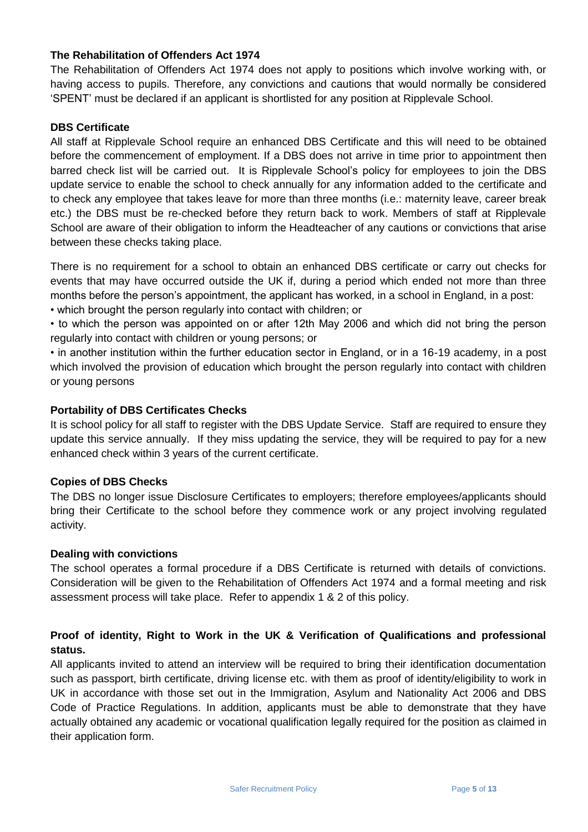#### **The Rehabilitation of Offenders Act 1974**

The Rehabilitation of Offenders Act 1974 does not apply to positions which involve working with, or having access to pupils. Therefore, any convictions and cautions that would normally be considered 'SPENT' must be declared if an applicant is shortlisted for any position at Ripplevale School.

#### **DBS Certificate**

All staff at Ripplevale School require an enhanced DBS Certificate and this will need to be obtained before the commencement of employment. If a DBS does not arrive in time prior to appointment then barred check list will be carried out. It is Ripplevale School's policy for employees to join the DBS update service to enable the school to check annually for any information added to the certificate and to check any employee that takes leave for more than three months (i.e.: maternity leave, career break etc.) the DBS must be re-checked before they return back to work. Members of staff at Ripplevale School are aware of their obligation to inform the Headteacher of any cautions or convictions that arise between these checks taking place.

There is no requirement for a school to obtain an enhanced DBS certificate or carry out checks for events that may have occurred outside the UK if, during a period which ended not more than three months before the person's appointment, the applicant has worked, in a school in England, in a post: • which brought the person regularly into contact with children; or

• to which the person was appointed on or after 12th May 2006 and which did not bring the person regularly into contact with children or young persons; or

• in another institution within the further education sector in England, or in a 16-19 academy, in a post which involved the provision of education which brought the person regularly into contact with children or young persons

#### **Portability of DBS Certificates Checks**

It is school policy for all staff to register with the DBS Update Service. Staff are required to ensure they update this service annually. If they miss updating the service, they will be required to pay for a new enhanced check within 3 years of the current certificate.

#### **Copies of DBS Checks**

The DBS no longer issue Disclosure Certificates to employers; therefore employees/applicants should bring their Certificate to the school before they commence work or any project involving regulated activity.

#### **Dealing with convictions**

The school operates a formal procedure if a DBS Certificate is returned with details of convictions. Consideration will be given to the Rehabilitation of Offenders Act 1974 and a formal meeting and risk assessment process will take place. Refer to appendix 1 & 2 of this policy.

#### **Proof of identity, Right to Work in the UK & Verification of Qualifications and professional status.**

All applicants invited to attend an interview will be required to bring their identification documentation such as passport, birth certificate, driving license etc. with them as proof of identity/eligibility to work in UK in accordance with those set out in the Immigration, Asylum and Nationality Act 2006 and DBS Code of Practice Regulations. In addition, applicants must be able to demonstrate that they have actually obtained any academic or vocational qualification legally required for the position as claimed in their application form.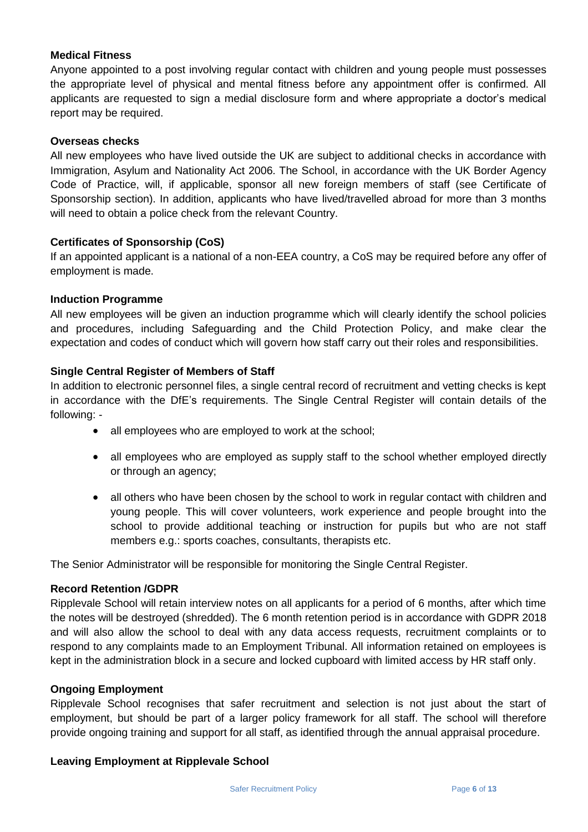#### **Medical Fitness**

Anyone appointed to a post involving regular contact with children and young people must possesses the appropriate level of physical and mental fitness before any appointment offer is confirmed. All applicants are requested to sign a medial disclosure form and where appropriate a doctor's medical report may be required.

#### **Overseas checks**

All new employees who have lived outside the UK are subject to additional checks in accordance with Immigration, Asylum and Nationality Act 2006. The School, in accordance with the UK Border Agency Code of Practice, will, if applicable, sponsor all new foreign members of staff (see Certificate of Sponsorship section). In addition, applicants who have lived/travelled abroad for more than 3 months will need to obtain a police check from the relevant Country.

#### **Certificates of Sponsorship (CoS)**

If an appointed applicant is a national of a non-EEA country, a CoS may be required before any offer of employment is made.

#### **Induction Programme**

All new employees will be given an induction programme which will clearly identify the school policies and procedures, including Safeguarding and the Child Protection Policy, and make clear the expectation and codes of conduct which will govern how staff carry out their roles and responsibilities.

#### **Single Central Register of Members of Staff**

In addition to electronic personnel files, a single central record of recruitment and vetting checks is kept in accordance with the DfE's requirements. The Single Central Register will contain details of the following: -

- all employees who are employed to work at the school;
- all employees who are employed as supply staff to the school whether employed directly or through an agency;
- all others who have been chosen by the school to work in regular contact with children and young people. This will cover volunteers, work experience and people brought into the school to provide additional teaching or instruction for pupils but who are not staff members e.g.: sports coaches, consultants, therapists etc.

The Senior Administrator will be responsible for monitoring the Single Central Register.

#### **Record Retention /GDPR**

Ripplevale School will retain interview notes on all applicants for a period of 6 months, after which time the notes will be destroyed (shredded). The 6 month retention period is in accordance with GDPR 2018 and will also allow the school to deal with any data access requests, recruitment complaints or to respond to any complaints made to an Employment Tribunal. All information retained on employees is kept in the administration block in a secure and locked cupboard with limited access by HR staff only.

#### **Ongoing Employment**

Ripplevale School recognises that safer recruitment and selection is not just about the start of employment, but should be part of a larger policy framework for all staff. The school will therefore provide ongoing training and support for all staff, as identified through the annual appraisal procedure.

#### **Leaving Employment at Ripplevale School**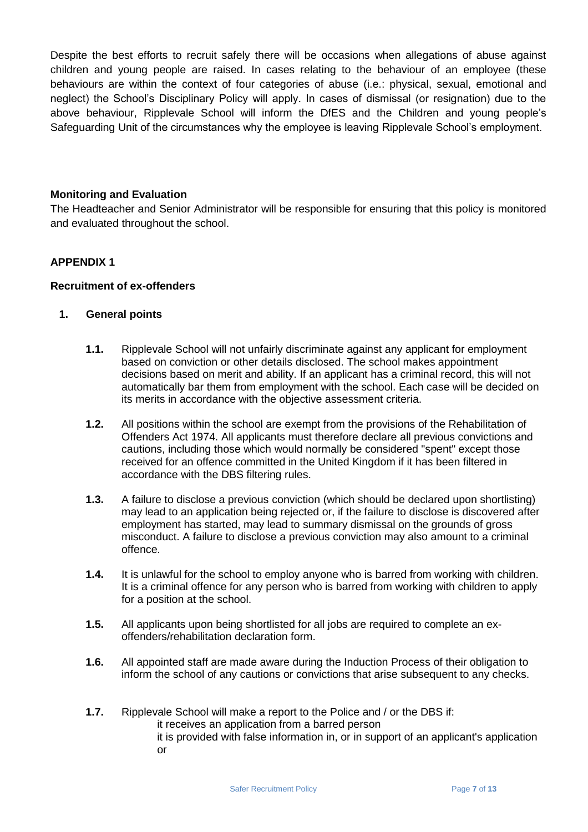Despite the best efforts to recruit safely there will be occasions when allegations of abuse against children and young people are raised. In cases relating to the behaviour of an employee (these behaviours are within the context of four categories of abuse (i.e.: physical, sexual, emotional and neglect) the School's Disciplinary Policy will apply. In cases of dismissal (or resignation) due to the above behaviour, Ripplevale School will inform the DfES and the Children and young people's Safeguarding Unit of the circumstances why the employee is leaving Ripplevale School's employment.

#### **Monitoring and Evaluation**

The Headteacher and Senior Administrator will be responsible for ensuring that this policy is monitored and evaluated throughout the school.

#### **APPENDIX 1**

#### **Recruitment of ex-offenders**

#### **1. General points**

- **1.1.** Ripplevale School will not unfairly discriminate against any applicant for employment based on conviction or other details disclosed. The school makes appointment decisions based on merit and ability. If an applicant has a criminal record, this will not automatically bar them from employment with the school. Each case will be decided on its merits in accordance with the objective assessment criteria.
- **1.2.** All positions within the school are exempt from the provisions of the Rehabilitation of Offenders Act 1974. All applicants must therefore declare all previous convictions and cautions, including those which would normally be considered "spent" except those received for an offence committed in the United Kingdom if it has been filtered in accordance with the DBS filtering rules.
- **1.3.** A failure to disclose a previous conviction (which should be declared upon shortlisting) may lead to an application being rejected or, if the failure to disclose is discovered after employment has started, may lead to summary dismissal on the grounds of gross misconduct. A failure to disclose a previous conviction may also amount to a criminal offence.
- **1.4.** It is unlawful for the school to employ anyone who is barred from working with children. It is a criminal offence for any person who is barred from working with children to apply for a position at the school.
- **1.5.** All applicants upon being shortlisted for all jobs are required to complete an exoffenders/rehabilitation declaration form.
- **1.6.** All appointed staff are made aware during the Induction Process of their obligation to inform the school of any cautions or convictions that arise subsequent to any checks.
- **1.7.** Ripplevale School will make a report to the Police and / or the DBS if: it receives an application from a barred person it is provided with false information in, or in support of an applicant's application or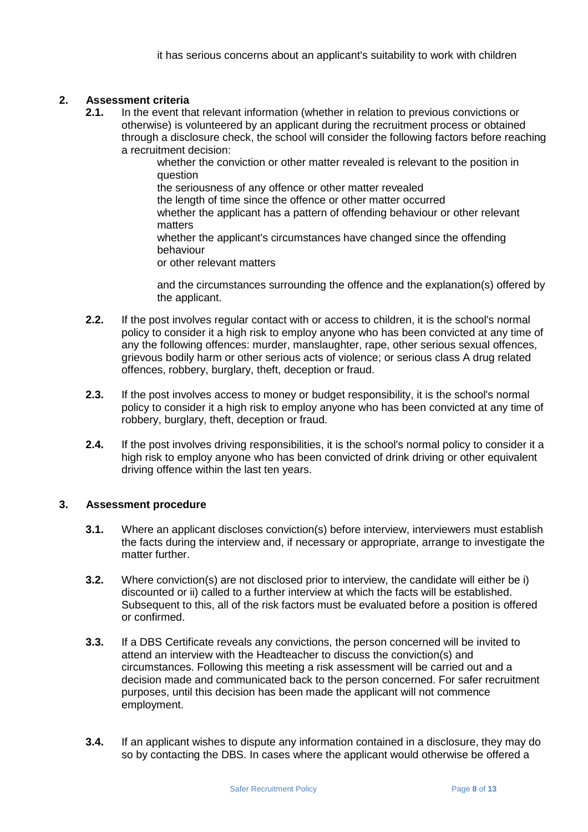#### **2. Assessment criteria**

**2.1.** In the event that relevant information (whether in relation to previous convictions or otherwise) is volunteered by an applicant during the recruitment process or obtained through a disclosure check, the school will consider the following factors before reaching a recruitment decision:

whether the conviction or other matter revealed is relevant to the position in question

the seriousness of any offence or other matter revealed

the length of time since the offence or other matter occurred whether the applicant has a pattern of offending behaviour or other relevant matters

whether the applicant's circumstances have changed since the offending behaviour

or other relevant matters

and the circumstances surrounding the offence and the explanation(s) offered by the applicant.

- **2.2.** If the post involves regular contact with or access to children, it is the school's normal policy to consider it a high risk to employ anyone who has been convicted at any time of any the following offences: murder, manslaughter, rape, other serious sexual offences, grievous bodily harm or other serious acts of violence; or serious class A drug related offences, robbery, burglary, theft, deception or fraud.
- **2.3.** If the post involves access to money or budget responsibility, it is the school's normal policy to consider it a high risk to employ anyone who has been convicted at any time of robbery, burglary, theft, deception or fraud.
- **2.4.** If the post involves driving responsibilities, it is the school's normal policy to consider it a high risk to employ anyone who has been convicted of drink driving or other equivalent driving offence within the last ten years.

#### **3. Assessment procedure**

- **3.1.** Where an applicant discloses conviction(s) before interview, interviewers must establish the facts during the interview and, if necessary or appropriate, arrange to investigate the matter further.
- **3.2.** Where conviction(s) are not disclosed prior to interview, the candidate will either be i) discounted or ii) called to a further interview at which the facts will be established. Subsequent to this, all of the risk factors must be evaluated before a position is offered or confirmed.
- **3.3.** If a DBS Certificate reveals any convictions, the person concerned will be invited to attend an interview with the Headteacher to discuss the conviction(s) and circumstances. Following this meeting a risk assessment will be carried out and a decision made and communicated back to the person concerned. For safer recruitment purposes, until this decision has been made the applicant will not commence employment.
- **3.4.** If an applicant wishes to dispute any information contained in a disclosure, they may do so by contacting the DBS. In cases where the applicant would otherwise be offered a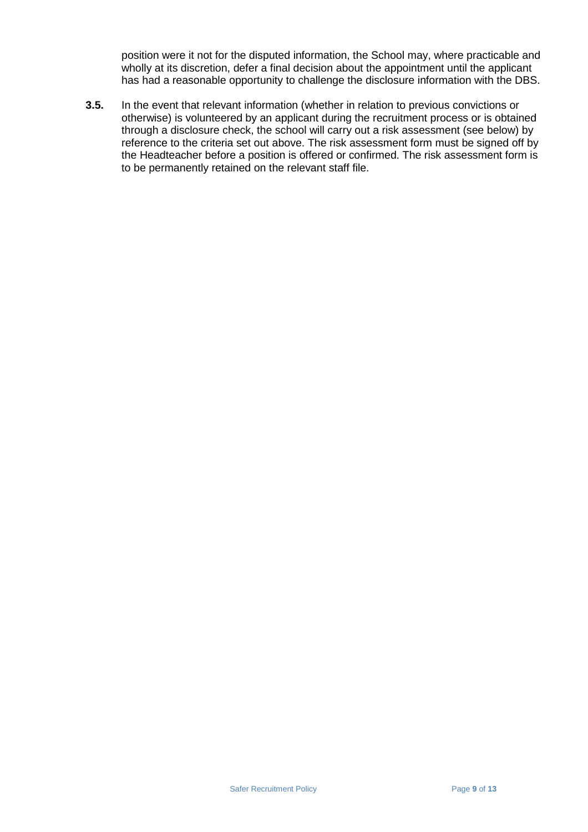position were it not for the disputed information, the School may, where practicable and wholly at its discretion, defer a final decision about the appointment until the applicant has had a reasonable opportunity to challenge the disclosure information with the DBS.

**3.5.** In the event that relevant information (whether in relation to previous convictions or otherwise) is volunteered by an applicant during the recruitment process or is obtained through a disclosure check, the school will carry out a risk assessment (see below) by reference to the criteria set out above. The risk assessment form must be signed off by the Headteacher before a position is offered or confirmed. The risk assessment form is to be permanently retained on the relevant staff file.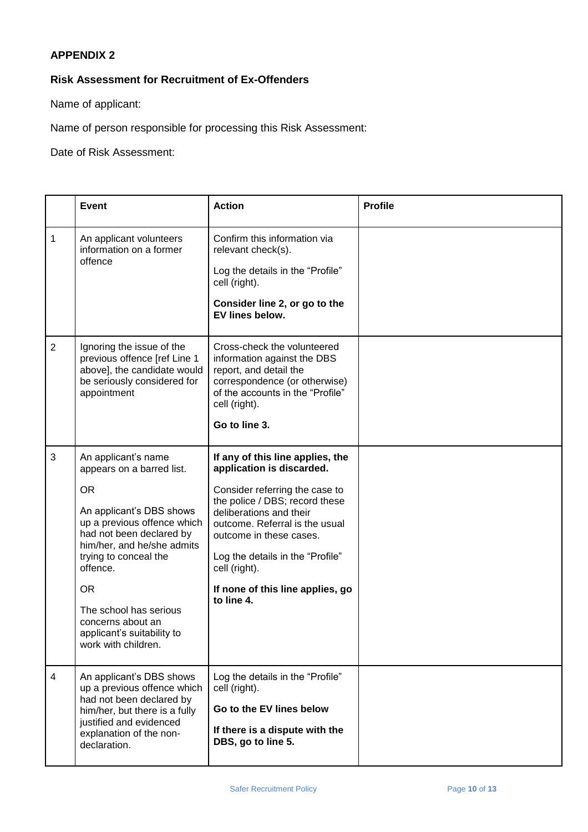#### **APPENDIX 2**

#### **Risk Assessment for Recruitment of Ex-Offenders**

Name of applicant:

Name of person responsible for processing this Risk Assessment:

Date of Risk Assessment:

|                | <b>Event</b>                                                                                                                                                                                                                                                                                                                             | <b>Action</b>                                                                                                                                                                                                                                                                                                                    | <b>Profile</b> |
|----------------|------------------------------------------------------------------------------------------------------------------------------------------------------------------------------------------------------------------------------------------------------------------------------------------------------------------------------------------|----------------------------------------------------------------------------------------------------------------------------------------------------------------------------------------------------------------------------------------------------------------------------------------------------------------------------------|----------------|
| $\mathbf{1}$   | An applicant volunteers<br>information on a former<br>offence                                                                                                                                                                                                                                                                            | Confirm this information via<br>relevant check(s).<br>Log the details in the "Profile"<br>cell (right).<br>Consider line 2, or go to the<br>EV lines below.                                                                                                                                                                      |                |
| $\overline{2}$ | Ignoring the issue of the<br>previous offence [ref Line 1<br>above], the candidate would<br>be seriously considered for<br>appointment                                                                                                                                                                                                   | Cross-check the volunteered<br>information against the DBS<br>report, and detail the<br>correspondence (or otherwise)<br>of the accounts in the "Profile"<br>cell (right).<br>Go to line 3.                                                                                                                                      |                |
| 3              | An applicant's name<br>appears on a barred list.<br><b>OR</b><br>An applicant's DBS shows<br>up a previous offence which<br>had not been declared by<br>him/her, and he/she admits<br>trying to conceal the<br>offence.<br><b>OR</b><br>The school has serious<br>concerns about an<br>applicant's suitability to<br>work with children. | If any of this line applies, the<br>application is discarded.<br>Consider referring the case to<br>the police / DBS; record these<br>deliberations and their<br>outcome. Referral is the usual<br>outcome in these cases.<br>Log the details in the "Profile"<br>cell (right).<br>If none of this line applies, go<br>to line 4. |                |
| 4              | An applicant's DBS shows<br>up a previous offence which<br>had not been declared by<br>him/her, but there is a fully<br>justified and evidenced<br>explanation of the non-<br>declaration.                                                                                                                                               | Log the details in the "Profile"<br>cell (right).<br>Go to the EV lines below<br>If there is a dispute with the<br>DBS, go to line 5.                                                                                                                                                                                            |                |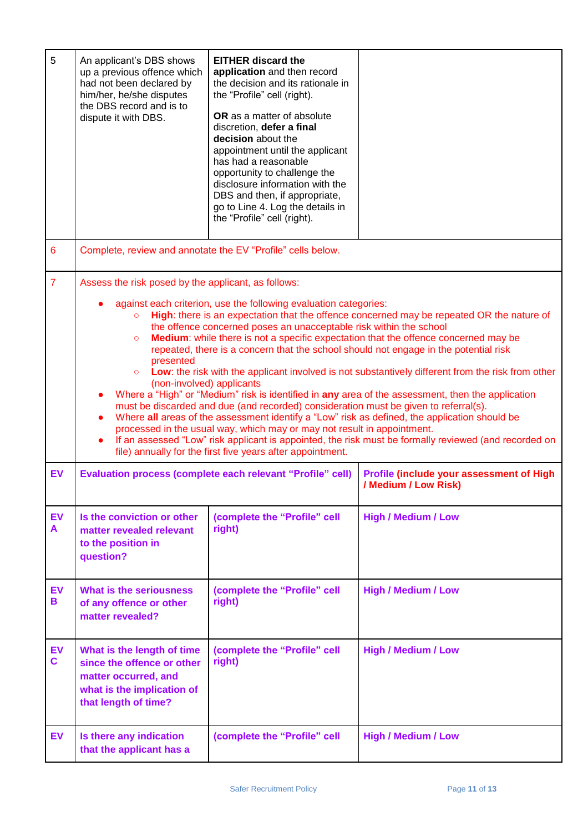| 5                  | An applicant's DBS shows<br>up a previous offence which<br>had not been declared by<br>him/her, he/she disputes<br>the DBS record and is to<br>dispute it with DBS.                                                                                                                                                                                                                                                                                                                                                                                                                                                                                                                                                                                                                                                                                                                                                                                                                                                                                                                                                                                                                                                                 | <b>EITHER discard the</b><br>application and then record<br>the decision and its rationale in<br>the "Profile" cell (right).<br>OR as a matter of absolute<br>discretion, defer a final<br>decision about the<br>appointment until the applicant<br>has had a reasonable<br>opportunity to challenge the<br>disclosure information with the<br>DBS and then, if appropriate,<br>go to Line 4. Log the details in<br>the "Profile" cell (right). |                                                                  |
|--------------------|-------------------------------------------------------------------------------------------------------------------------------------------------------------------------------------------------------------------------------------------------------------------------------------------------------------------------------------------------------------------------------------------------------------------------------------------------------------------------------------------------------------------------------------------------------------------------------------------------------------------------------------------------------------------------------------------------------------------------------------------------------------------------------------------------------------------------------------------------------------------------------------------------------------------------------------------------------------------------------------------------------------------------------------------------------------------------------------------------------------------------------------------------------------------------------------------------------------------------------------|-------------------------------------------------------------------------------------------------------------------------------------------------------------------------------------------------------------------------------------------------------------------------------------------------------------------------------------------------------------------------------------------------------------------------------------------------|------------------------------------------------------------------|
| $6\phantom{1}6$    | Complete, review and annotate the EV "Profile" cells below.                                                                                                                                                                                                                                                                                                                                                                                                                                                                                                                                                                                                                                                                                                                                                                                                                                                                                                                                                                                                                                                                                                                                                                         |                                                                                                                                                                                                                                                                                                                                                                                                                                                 |                                                                  |
| $\overline{7}$     | Assess the risk posed by the applicant, as follows:<br>against each criterion, use the following evaluation categories:<br>High: there is an expectation that the offence concerned may be repeated OR the nature of<br>$\circ$<br>the offence concerned poses an unacceptable risk within the school<br>Medium: while there is not a specific expectation that the offence concerned may be<br>$\circ$<br>repeated, there is a concern that the school should not engage in the potential risk<br>presented<br>Low: the risk with the applicant involved is not substantively different from the risk from other<br>$\circ$<br>(non-involved) applicants<br>Where a "High" or "Medium" risk is identified in any area of the assessment, then the application<br>$\bullet$<br>must be discarded and due (and recorded) consideration must be given to referral(s).<br>Where all areas of the assessment identify a "Low" risk as defined, the application should be<br>$\bullet$<br>processed in the usual way, which may or may not result in appointment.<br>If an assessed "Low" risk applicant is appointed, the risk must be formally reviewed (and recorded on<br>file) annually for the first five years after appointment. |                                                                                                                                                                                                                                                                                                                                                                                                                                                 |                                                                  |
| EV                 | <b>Evaluation process (complete each relevant "Profile" cell)</b>                                                                                                                                                                                                                                                                                                                                                                                                                                                                                                                                                                                                                                                                                                                                                                                                                                                                                                                                                                                                                                                                                                                                                                   |                                                                                                                                                                                                                                                                                                                                                                                                                                                 | Profile (include your assessment of High<br>/ Medium / Low Risk) |
| <b>EV</b><br>A     | Is the conviction or other<br>(complete the "Profile" cell<br>right)<br>matter revealed relevant<br>to the position in<br>question?                                                                                                                                                                                                                                                                                                                                                                                                                                                                                                                                                                                                                                                                                                                                                                                                                                                                                                                                                                                                                                                                                                 |                                                                                                                                                                                                                                                                                                                                                                                                                                                 | <b>High / Medium / Low</b>                                       |
| <b>EV</b><br>В     | <b>What is the seriousness</b><br>(complete the "Profile" cell<br>right)<br>of any offence or other<br>matter revealed?                                                                                                                                                                                                                                                                                                                                                                                                                                                                                                                                                                                                                                                                                                                                                                                                                                                                                                                                                                                                                                                                                                             |                                                                                                                                                                                                                                                                                                                                                                                                                                                 | <b>High / Medium / Low</b>                                       |
| EV<br>$\mathbf{C}$ | What is the length of time<br>(complete the "Profile" cell<br>right)<br>since the offence or other<br>matter occurred, and<br>what is the implication of<br>that length of time?                                                                                                                                                                                                                                                                                                                                                                                                                                                                                                                                                                                                                                                                                                                                                                                                                                                                                                                                                                                                                                                    |                                                                                                                                                                                                                                                                                                                                                                                                                                                 | <b>High / Medium / Low</b>                                       |
| <b>EV</b>          | Is there any indication<br>that the applicant has a                                                                                                                                                                                                                                                                                                                                                                                                                                                                                                                                                                                                                                                                                                                                                                                                                                                                                                                                                                                                                                                                                                                                                                                 | (complete the "Profile" cell                                                                                                                                                                                                                                                                                                                                                                                                                    | <b>High / Medium / Low</b>                                       |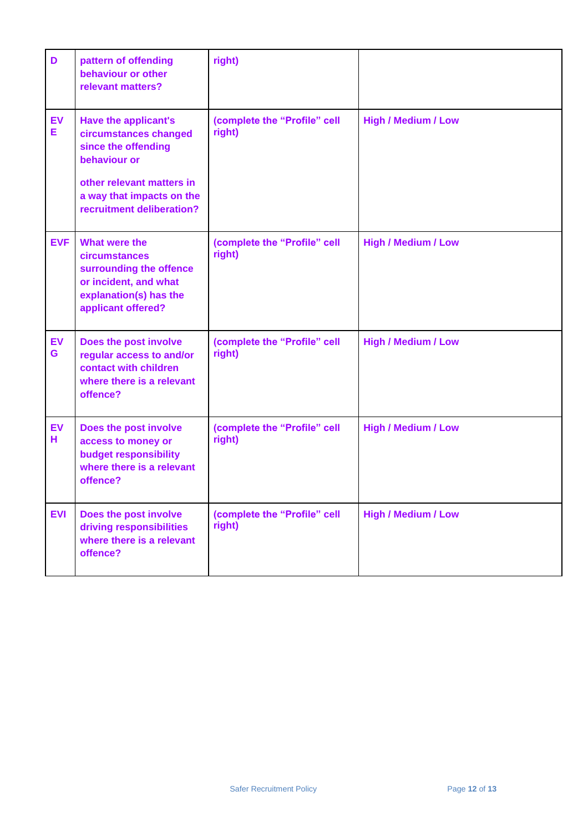| D              | pattern of offending<br>behaviour or other<br>relevant matters?                                                                                                                    | right)                                 |                            |
|----------------|------------------------------------------------------------------------------------------------------------------------------------------------------------------------------------|----------------------------------------|----------------------------|
| <b>EV</b><br>Е | <b>Have the applicant's</b><br>circumstances changed<br>since the offending<br>behaviour or<br>other relevant matters in<br>a way that impacts on the<br>recruitment deliberation? | (complete the "Profile" cell<br>right) | <b>High / Medium / Low</b> |
| <b>EVF</b>     | What were the<br>circumstances<br>surrounding the offence<br>or incident, and what<br>explanation(s) has the<br>applicant offered?                                                 | (complete the "Profile" cell<br>right) | <b>High / Medium / Low</b> |
| <b>EV</b><br>G | Does the post involve<br>regular access to and/or<br>contact with children<br>where there is a relevant<br>offence?                                                                | (complete the "Profile" cell<br>right) | <b>High / Medium / Low</b> |
| <b>EV</b><br>н | Does the post involve<br>access to money or<br>budget responsibility<br>where there is a relevant<br>offence?                                                                      | (complete the "Profile" cell<br>right) | <b>High / Medium / Low</b> |
| <b>EVI</b>     | Does the post involve<br>driving responsibilities<br>where there is a relevant<br>offence?                                                                                         | (complete the "Profile" cell<br>right) | <b>High / Medium / Low</b> |